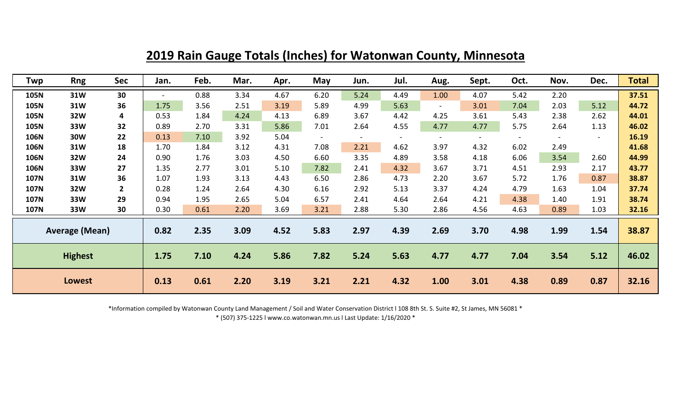| Twp                   | <b>Rng</b> | Sec         | Jan.                     | Feb. | Mar. | Apr. | May            | Jun. | Jul. | Aug.                     | Sept.          | Oct. | Nov.   | Dec.           | <b>Total</b> |
|-----------------------|------------|-------------|--------------------------|------|------|------|----------------|------|------|--------------------------|----------------|------|--------|----------------|--------------|
| 105N                  | 31W        | 30          | $\overline{\phantom{0}}$ | 0.88 | 3.34 | 4.67 | 6.20           | 5.24 | 4.49 | 1.00                     | 4.07           | 5.42 | 2.20   |                | 37.51        |
| 105N                  | 31W        | 36          | 1.75                     | 3.56 | 2.51 | 3.19 | 5.89           | 4.99 | 5.63 | $\overline{\phantom{a}}$ | 3.01           | 7.04 | 2.03   | 5.12           | 44.72        |
| 105N                  | 32W        | 4           | 0.53                     | 1.84 | 4.24 | 4.13 | 6.89           | 3.67 | 4.42 | 4.25                     | 3.61           | 5.43 | 2.38   | 2.62           | 44.01        |
| 105N                  | 33W        | 32          | 0.89                     | 2.70 | 3.31 | 5.86 | 7.01           | 2.64 | 4.55 | 4.77                     | 4.77           | 5.75 | 2.64   | 1.13           | 46.02        |
| 106N                  | <b>30W</b> | 22          | 0.13                     | 7.10 | 3.92 | 5.04 | $\blacksquare$ |      |      | $\blacksquare$           | $\blacksquare$ |      | $\sim$ | $\blacksquare$ | 16.19        |
| 106N                  | 31W        | 18          | 1.70                     | 1.84 | 3.12 | 4.31 | 7.08           | 2.21 | 4.62 | 3.97                     | 4.32           | 6.02 | 2.49   |                | 41.68        |
| 106N                  | <b>32W</b> | 24          | 0.90                     | 1.76 | 3.03 | 4.50 | 6.60           | 3.35 | 4.89 | 3.58                     | 4.18           | 6.06 | 3.54   | 2.60           | 44.99        |
| 106N                  | 33W        | 27          | 1.35                     | 2.77 | 3.01 | 5.10 | 7.82           | 2.41 | 4.32 | 3.67                     | 3.71           | 4.51 | 2.93   | 2.17           | 43.77        |
| <b>107N</b>           | 31W        | 36          | 1.07                     | 1.93 | 3.13 | 4.43 | 6.50           | 2.86 | 4.73 | 2.20                     | 3.67           | 5.72 | 1.76   | 0.87           | 38.87        |
| 107N                  | <b>32W</b> | $2^{\circ}$ | 0.28                     | 1.24 | 2.64 | 4.30 | 6.16           | 2.92 | 5.13 | 3.37                     | 4.24           | 4.79 | 1.63   | 1.04           | 37.74        |
| <b>107N</b>           | 33W        | 29          | 0.94                     | 1.95 | 2.65 | 5.04 | 6.57           | 2.41 | 4.64 | 2.64                     | 4.21           | 4.38 | 1.40   | 1.91           | 38.74        |
| <b>107N</b>           | 33W        | 30          | 0.30                     | 0.61 | 2.20 | 3.69 | 3.21           | 2.88 | 5.30 | 2.86                     | 4.56           | 4.63 | 0.89   | 1.03           | 32.16        |
| <b>Average (Mean)</b> |            |             | 0.82                     | 2.35 | 3.09 | 4.52 | 5.83           | 2.97 | 4.39 | 2.69                     | 3.70           | 4.98 | 1.99   | 1.54           | 38.87        |
| <b>Highest</b>        |            |             | 1.75                     | 7.10 | 4.24 | 5.86 | 7.82           | 5.24 | 5.63 | 4.77                     | 4.77           | 7.04 | 3.54   | 5.12           | 46.02        |
| <b>Lowest</b>         |            |             | 0.13                     | 0.61 | 2.20 | 3.19 | 3.21           | 2.21 | 4.32 | 1.00                     | 3.01           | 4.38 | 0.89   | 0.87           | 32.16        |

**2019 Rain Gauge Totals (Inches) for Watonwan County, Minnesota**

\*Information compiled by Watonwan County Land Management / Soil and Water Conservation District l 108 8th St. S. Suite #2, St James, MN 56081 \*

\* (507) 375-1225 l www.co.watonwan.mn.us l Last Update: 1/16/2020 \*